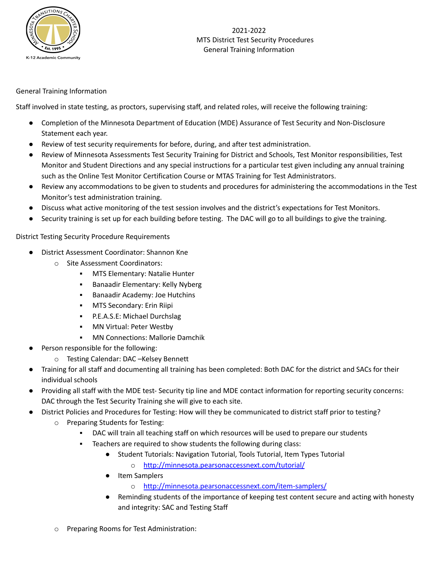

#### General Training Information

Staff involved in state testing, as proctors, supervising staff, and related roles, will receive the following training:

- Completion of the Minnesota Department of Education (MDE) Assurance of Test Security and Non-Disclosure Statement each year.
- Review of test security requirements for before, during, and after test administration.
- Review of Minnesota Assessments Test Security Training for District and Schools, Test Monitor responsibilities, Test Monitor and Student Directions and any special instructions for a particular test given including any annual training such as the Online Test Monitor Certification Course or MTAS Training for Test Administrators.
- Review any accommodations to be given to students and procedures for administering the accommodations in the Test Monitor's test administration training.
- Discuss what active monitoring of the test session involves and the district's expectations for Test Monitors.
- Security training is set up for each building before testing. The DAC will go to all buildings to give the training.

District Testing Security Procedure Requirements

- District Assessment Coordinator: Shannon Kne
	- o Site Assessment Coordinators:
		- **MTS Elementary: Natalie Hunter**
		- Banaadir Elementary: Kelly Nyberg
		- Banaadir Academy: Joe Hutchins
		- MTS Secondary: Erin Riipi
		- P.E.A.S.E: Michael Durchslag
		- **■** MN Virtual: Peter Westby
		- MN Connections: Mallorie Damchik
- Person responsible for the following:
	- o Testing Calendar: DAC –Kelsey Bennett
- Training for all staff and documenting all training has been completed: Both DAC for the district and SACs for their individual schools
- Providing all staff with the MDE test- Security tip line and MDE contact information for reporting security concerns: DAC through the Test Security Training she will give to each site.
- District Policies and Procedures for Testing: How will they be communicated to district staff prior to testing?
	- o Preparing Students for Testing:
		- DAC will train all teaching staff on which resources will be used to prepare our students
		- Teachers are required to show students the following during class:
			- Student Tutorials: Navigation Tutorial, Tools Tutorial, Item Types Tutorial o <http://minnesota.pearsonaccessnext.com/tutorial/>
			- Item Samplers
				- o <http://minnesota.pearsonaccessnext.com/item-samplers/>
			- Reminding students of the importance of keeping test content secure and acting with honesty and integrity: SAC and Testing Staff
	- Preparing Rooms for Test Administration: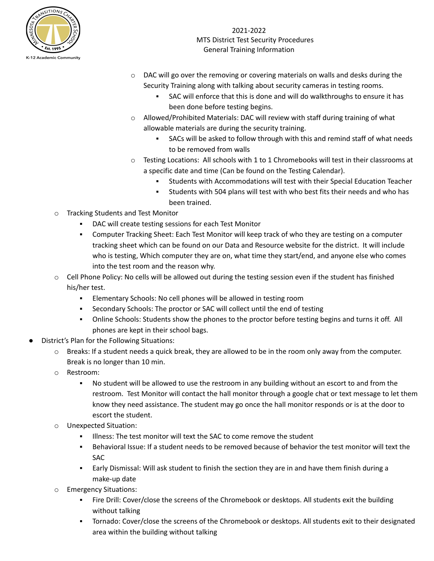

- $\circ$  DAC will go over the removing or covering materials on walls and desks during the Security Training along with talking about security cameras in testing rooms.
	- **EXEC Will enforce that this is done and will do walkthroughs to ensure it has** been done before testing begins.
- $\circ$  Allowed/Prohibited Materials: DAC will review with staff during training of what allowable materials are during the security training.
	- **•** SACs will be asked to follow through with this and remind staff of what needs to be removed from walls
- o Testing Locations: All schools with 1 to 1 Chromebooks will test in their classrooms at a specific date and time (Can be found on the Testing Calendar).
	- Students with Accommodations will test with their Special Education Teacher
	- Students with 504 plans will test with who best fits their needs and who has been trained.
- o Tracking Students and Test Monitor
	- DAC will create testing sessions for each Test Monitor
	- **Computer Tracking Sheet: Each Test Monitor will keep track of who they are testing on a computer** tracking sheet which can be found on our Data and Resource website for the district. It will include who is testing, Which computer they are on, what time they start/end, and anyone else who comes into the test room and the reason why.
- o Cell Phone Policy: No cells will be allowed out during the testing session even if the student has finished his/her test.
	- Elementary Schools: No cell phones will be allowed in testing room
	- Secondary Schools: The proctor or SAC will collect until the end of testing
	- Online Schools: Students show the phones to the proctor before testing begins and turns it off. All phones are kept in their school bags.
- District's Plan for the Following Situations:
	- $\circ$  Breaks: If a student needs a quick break, they are allowed to be in the room only away from the computer. Break is no longer than 10 min.
	- o Restroom:
		- No student will be allowed to use the restroom in any building without an escort to and from the restroom. Test Monitor will contact the hall monitor through a google chat or text message to let them know they need assistance. The student may go once the hall monitor responds or is at the door to escort the student.
	- Unexpected Situation:
		- Illness: The test monitor will text the SAC to come remove the student
		- Behavioral Issue: If a student needs to be removed because of behavior the test monitor will text the SAC
		- **Early Dismissal: Will ask student to finish the section they are in and have them finish during a** make-up date
	- **Emergency Situations:** 
		- Fire Drill: Cover/close the screens of the Chromebook or desktops. All students exit the building without talking
		- Tornado: Cover/close the screens of the Chromebook or desktops. All students exit to their designated area within the building without talking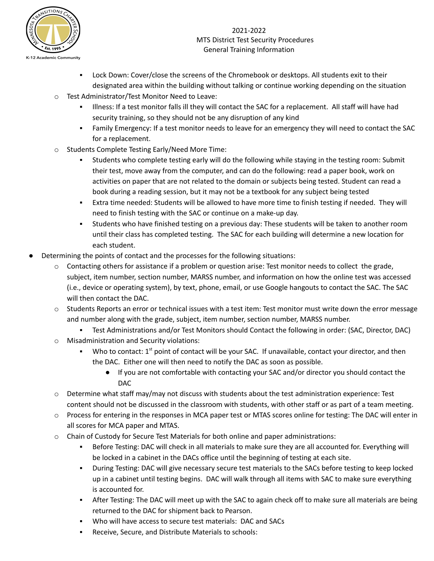

- Lock Down: Cover/close the screens of the Chromebook or desktops. All students exit to their designated area within the building without talking or continue working depending on the situation
- o Test Administrator/Test Monitor Need to Leave:
	- Illness: If a test monitor falls ill they will contact the SAC for a replacement. All staff will have had security training, so they should not be any disruption of any kind
	- Family Emergency: If a test monitor needs to leave for an emergency they will need to contact the SAC for a replacement.
- o Students Complete Testing Early/Need More Time:
	- Students who complete testing early will do the following while staying in the testing room: Submit their test, move away from the computer, and can do the following: read a paper book, work on activities on paper that are not related to the domain or subjects being tested. Student can read a book during a reading session, but it may not be a textbook for any subject being tested
	- Extra time needed: Students will be allowed to have more time to finish testing if needed. They will need to finish testing with the SAC or continue on a make-up day.
	- Students who have finished testing on a previous day: These students will be taken to another room until their class has completed testing. The SAC for each building will determine a new location for each student.
- Determining the points of contact and the processes for the following situations:
	- $\circ$  Contacting others for assistance if a problem or question arise: Test monitor needs to collect the grade, subject, item number, section number, MARSS number, and information on how the online test was accessed (i.e., device or operating system), by text, phone, email, or use Google hangouts to contact the SAC. The SAC will then contact the DAC.
	- o Students Reports an error or technical issues with a test item: Test monitor must write down the error message and number along with the grade, subject, item number, section number, MARSS number.
		- Test Administrations and/or Test Monitors should Contact the following in order: (SAC, Director, DAC)
	- o Misadministration and Security violations:
		- Who to contact: 1<sup>st</sup> point of contact will be your SAC. If unavailable, contact your director, and then the DAC. Either one will then need to notify the DAC as soon as possible.
			- If you are not comfortable with contacting your SAC and/or director you should contact the DAC
	- o Determine what staff may/may not discuss with students about the test administration experience: Test content should not be discussed in the classroom with students, with other staff or as part of a team meeting.
	- o Process for entering in the responses in MCA paper test or MTAS scores online for testing: The DAC will enter in all scores for MCA paper and MTAS.
	- o Chain of Custody for Secure Test Materials for both online and paper administrations:
		- Before Testing: DAC will check in all materials to make sure they are all accounted for. Everything will be locked in a cabinet in the DACs office until the beginning of testing at each site.
		- During Testing: DAC will give necessary secure test materials to the SACs before testing to keep locked up in a cabinet until testing begins. DAC will walk through all items with SAC to make sure everything is accounted for.
		- After Testing: The DAC will meet up with the SAC to again check off to make sure all materials are being returned to the DAC for shipment back to Pearson.
		- Who will have access to secure test materials: DAC and SACs
		- Receive, Secure, and Distribute Materials to schools: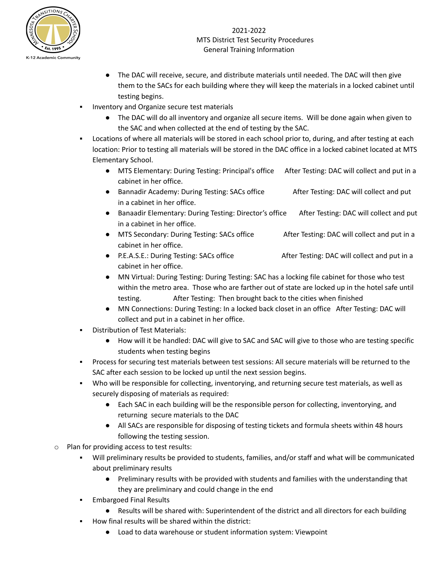

- The DAC will receive, secure, and distribute materials until needed. The DAC will then give them to the SACs for each building where they will keep the materials in a locked cabinet until testing begins.
- Inventory and Organize secure test materials
	- The DAC will do all inventory and organize all secure items. Will be done again when given to the SAC and when collected at the end of testing by the SAC.
- Locations of where all materials will be stored in each school prior to, during, and after testing at each location: Prior to testing all materials will be stored in the DAC office in a locked cabinet located at MTS Elementary School.
	- MTS Elementary: During Testing: Principal's office After Testing: DAC will collect and put in a cabinet in her office.
	- Bannadir Academy: During Testing: SACs office After Testing: DAC will collect and put in a cabinet in her office.
	- Banaadir Elementary: During Testing: Director's office After Testing: DAC will collect and put in a cabinet in her office.
	- MTS Secondary: During Testing: SACs office After Testing: DAC will collect and put in a cabinet in her office.
	- P.E.A.S.E.: During Testing: SACs office After Testing: DAC will collect and put in a cabinet in her office.
	- MN Virtual: During Testing: During Testing: SAC has a locking file cabinet for those who test within the metro area. Those who are farther out of state are locked up in the hotel safe until testing. After Testing: Then brought back to the cities when finished
	- MN Connections: During Testing: In a locked back closet in an office After Testing: DAC will collect and put in a cabinet in her office.
- Distribution of Test Materials:
	- How will it be handled: DAC will give to SAC and SAC will give to those who are testing specific students when testing begins
- Process for securing test materials between test sessions: All secure materials will be returned to the SAC after each session to be locked up until the next session begins.
- Who will be responsible for collecting, inventorying, and returning secure test materials, as well as securely disposing of materials as required:
	- Each SAC in each building will be the responsible person for collecting, inventorying, and returning secure materials to the DAC
	- All SACs are responsible for disposing of testing tickets and formula sheets within 48 hours following the testing session.
- o Plan for providing access to test results:
	- Will preliminary results be provided to students, families, and/or staff and what will be communicated about preliminary results
		- Preliminary results with be provided with students and families with the understanding that they are preliminary and could change in the end
	- **Embargoed Final Results** 
		- Results will be shared with: Superintendent of the district and all directors for each building
	- How final results will be shared within the district:
		- Load to data warehouse or student information system: Viewpoint